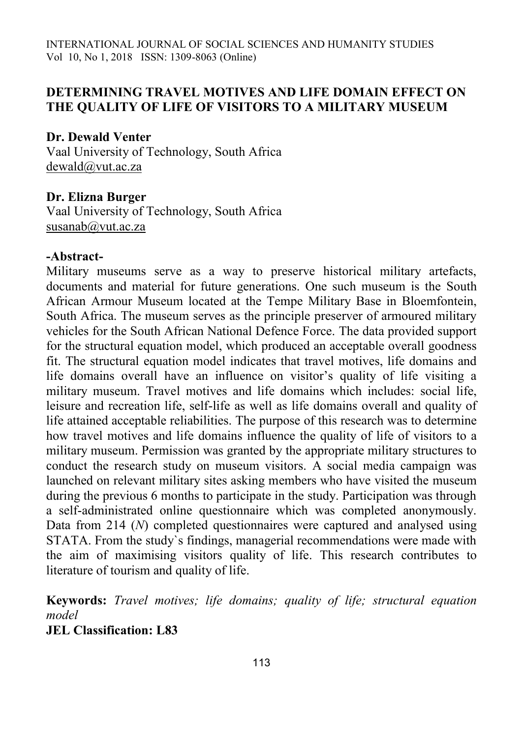## **DETERMINING TRAVEL MOTIVES AND LIFE DOMAIN EFFECT ON THE QUALITY OF LIFE OF VISITORS TO A MILITARY MUSEUM**

## **Dr. Dewald Venter**

Vaal University of Technology, South Africa [dewald@vut.ac.za](mailto:dewald@vut.ac.za)

## **Dr. Elizna Burger**

Vaal University of Technology, South Africa [susanab@vut.ac.za](mailto:susanab@vut.ac.za)

## **-Abstract-**

Military museums serve as a way to preserve historical military artefacts, documents and material for future generations. One such museum is the South African Armour Museum located at the Tempe Military Base in Bloemfontein, South Africa. The museum serves as the principle preserver of armoured military vehicles for the South African National Defence Force. The data provided support for the structural equation model, which produced an acceptable overall goodness fit. The structural equation model indicates that travel motives, life domains and life domains overall have an influence on visitor's quality of life visiting a military museum. Travel motives and life domains which includes: social life, leisure and recreation life, self-life as well as life domains overall and quality of life attained acceptable reliabilities. The purpose of this research was to determine how travel motives and life domains influence the quality of life of visitors to a military museum. Permission was granted by the appropriate military structures to conduct the research study on museum visitors. A social media campaign was launched on relevant military sites asking members who have visited the museum during the previous 6 months to participate in the study. Participation was through a self-administrated online questionnaire which was completed anonymously. Data from 214 (*N*) completed questionnaires were captured and analysed using STATA. From the study`s findings, managerial recommendations were made with the aim of maximising visitors quality of life. This research contributes to literature of tourism and quality of life.

**Keywords:** *Travel motives; life domains; quality of life; structural equation model*

**JEL Classification: L83**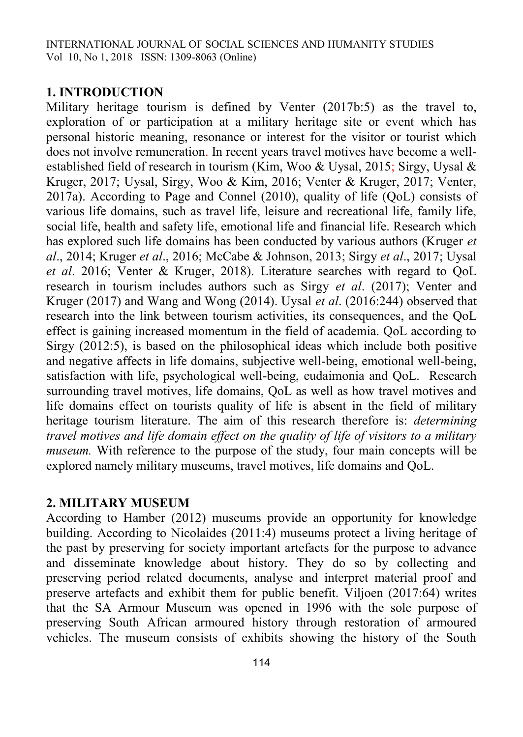## **1. INTRODUCTION**

Military heritage tourism is defined by Venter (2017b:5) as the travel to, exploration of or participation at a military heritage site or event which has personal historic meaning, resonance or interest for the visitor or tourist which does not involve remuneration. In recent years travel motives have become a wellestablished field of research in tourism (Kim, Woo & Uysal, 2015; Sirgy, Uysal & Kruger, 2017; Uysal, Sirgy, Woo & Kim, 2016; Venter & Kruger, 2017; Venter, 2017a). According to Page and Connel (2010), quality of life (QoL) consists of various life domains, such as travel life, leisure and recreational life, family life, social life, health and safety life, emotional life and financial life. Research which has explored such life domains has been conducted by various authors (Kruger *et al*., 2014; Kruger *et al*., 2016; McCabe & Johnson, 2013; Sirgy *et al*., 2017; Uysal *et al*. 2016; Venter & Kruger, 2018). Literature searches with regard to QoL research in tourism includes authors such as Sirgy *et al*. (2017); Venter and Kruger (2017) and Wang and Wong (2014). Uysal *et al*. (2016:244) observed that research into the link between tourism activities, its consequences, and the QoL effect is gaining increased momentum in the field of academia. QoL according to Sirgy (2012:5), is based on the philosophical ideas which include both positive and negative affects in life domains, subjective well-being, emotional well-being, satisfaction with life, psychological well-being, eudaimonia and QoL. Research surrounding travel motives, life domains, QoL as well as how travel motives and life domains effect on tourists quality of life is absent in the field of military heritage tourism literature. The aim of this research therefore is: *determining travel motives and life domain effect on the quality of life of visitors to a military museum.* With reference to the purpose of the study, four main concepts will be explored namely military museums, travel motives, life domains and QoL.

## **2. MILITARY MUSEUM**

According to Hamber (2012) museums provide an opportunity for knowledge building. According to Nicolaides (2011:4) museums protect a living heritage of the past by preserving for society important artefacts for the purpose to advance and disseminate knowledge about history. They do so by collecting and preserving period related documents, analyse and interpret material proof and preserve artefacts and exhibit them for public benefit. Viljoen (2017:64) writes that the SA Armour Museum was opened in 1996 with the sole purpose of preserving South African armoured history through restoration of armoured vehicles. The museum consists of exhibits showing the history of the South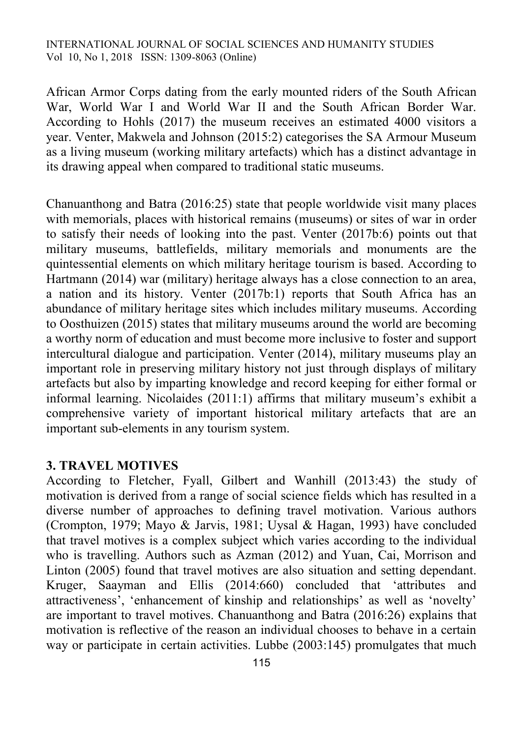African Armor Corps dating from the early mounted riders of the South African War, World War I and World War II and the South African Border War. According to Hohls (2017) the museum receives an estimated 4000 visitors a year. Venter, Makwela and Johnson (2015:2) categorises the SA Armour Museum as a living museum (working military artefacts) which has a distinct advantage in its drawing appeal when compared to traditional static museums.

Chanuanthong and Batra (2016:25) state that people worldwide visit many places with memorials, places with historical remains (museums) or sites of war in order to satisfy their needs of looking into the past. Venter (2017b:6) points out that military museums, battlefields, military memorials and monuments are the quintessential elements on which military heritage tourism is based. According to Hartmann (2014) war (military) heritage always has a close connection to an area, a nation and its history. Venter (2017b:1) reports that South Africa has an abundance of military heritage sites which includes military museums. According to Oosthuizen (2015) states that military museums around the world are becoming a worthy norm of education and must become more inclusive to foster and support intercultural dialogue and participation. Venter (2014), military museums play an important role in preserving military history not just through displays of military artefacts but also by imparting knowledge and record keeping for either formal or informal learning. Nicolaides (2011:1) affirms that military museum's exhibit a comprehensive variety of important historical military artefacts that are an important sub-elements in any tourism system.

## **3. TRAVEL MOTIVES**

According to Fletcher, Fyall, Gilbert and Wanhill (2013:43) the study of motivation is derived from a range of social science fields which has resulted in a diverse number of approaches to defining travel motivation. Various authors (Crompton, 1979; Mayo & Jarvis, 1981; Uysal & Hagan, 1993) have concluded that travel motives is a complex subject which varies according to the individual who is travelling. Authors such as Azman (2012) and Yuan, Cai, Morrison and Linton (2005) found that travel motives are also situation and setting dependant. Kruger, Saayman and Ellis (2014:660) concluded that 'attributes and attractiveness', 'enhancement of kinship and relationships' as well as 'novelty' are important to travel motives. Chanuanthong and Batra (2016:26) explains that motivation is reflective of the reason an individual chooses to behave in a certain way or participate in certain activities. Lubbe (2003:145) promulgates that much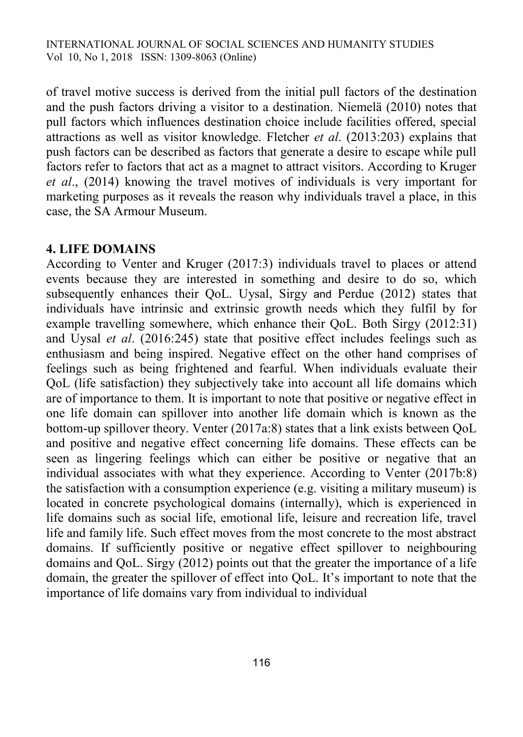of travel motive success is derived from the initial pull factors of the destination and the push factors driving a visitor to a destination. Niemelä (2010) notes that pull factors which influences destination choice include facilities offered, special attractions as well as visitor knowledge. Fletcher *et al*. (2013:203) explains that push factors can be described as factors that generate a desire to escape while pull factors refer to factors that act as a magnet to attract visitors. According to Kruger *et al*., (2014) knowing the travel motives of individuals is very important for marketing purposes as it reveals the reason why individuals travel a place, in this case, the SA Armour Museum.

## **4. LIFE DOMAINS**

According to Venter and Kruger (2017:3) individuals travel to places or attend events because they are interested in something and desire to do so, which subsequently enhances their QoL. Uysal, Sirgy and Perdue (2012) states that individuals have intrinsic and extrinsic growth needs which they fulfil by for example travelling somewhere, which enhance their QoL. Both Sirgy (2012:31) and Uysal *et al*. (2016:245) state that positive effect includes feelings such as enthusiasm and being inspired. Negative effect on the other hand comprises of feelings such as being frightened and fearful. When individuals evaluate their QoL (life satisfaction) they subjectively take into account all life domains which are of importance to them. It is important to note that positive or negative effect in one life domain can spillover into another life domain which is known as the bottom-up spillover theory. Venter (2017a:8) states that a link exists between QoL and positive and negative effect concerning life domains. These effects can be seen as lingering feelings which can either be positive or negative that an individual associates with what they experience. According to Venter (2017b:8) the satisfaction with a consumption experience (e.g. visiting a military museum) is located in concrete psychological domains (internally), which is experienced in life domains such as social life, emotional life, leisure and recreation life, travel life and family life. Such effect moves from the most concrete to the most abstract domains. If sufficiently positive or negative effect spillover to neighbouring domains and QoL. Sirgy (2012) points out that the greater the importance of a life domain, the greater the spillover of effect into QoL. It's important to note that the importance of life domains vary from individual to individual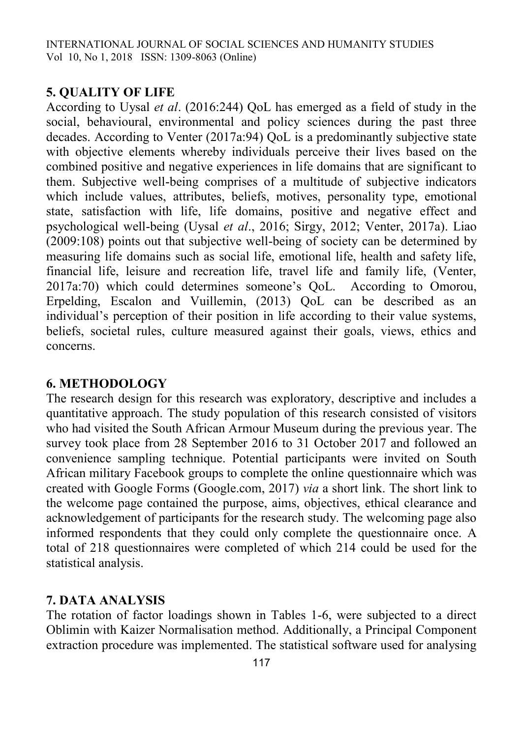# **5. QUALITY OF LIFE**

According to Uysal *et al*. (2016:244) QoL has emerged as a field of study in the social, behavioural, environmental and policy sciences during the past three decades. According to Venter (2017a:94) QoL is a predominantly subjective state with objective elements whereby individuals perceive their lives based on the combined positive and negative experiences in life domains that are significant to them. Subjective well-being comprises of a multitude of subjective indicators which include values, attributes, beliefs, motives, personality type, emotional state, satisfaction with life, life domains, positive and negative effect and psychological well-being (Uysal *et al*., 2016; Sirgy, 2012; Venter, 2017a). Liao (2009:108) points out that subjective well-being of society can be determined by measuring life domains such as social life, emotional life, health and safety life, financial life, leisure and recreation life, travel life and family life, (Venter, 2017a:70) which could determines someone's QoL. According to Omorou, Erpelding, Escalon and Vuillemin, (2013) QoL can be described as an individual's perception of their position in life according to their value systems, beliefs, societal rules, culture measured against their goals, views, ethics and concerns.

# **6. METHODOLOGY**

The research design for this research was exploratory, descriptive and includes a quantitative approach. The study population of this research consisted of visitors who had visited the South African Armour Museum during the previous year. The survey took place from 28 September 2016 to 31 October 2017 and followed an convenience sampling technique. Potential participants were invited on South African military Facebook groups to complete the online questionnaire which was created with Google Forms (Google.com, 2017) *via* a short link. The short link to the welcome page contained the purpose, aims, objectives, ethical clearance and acknowledgement of participants for the research study. The welcoming page also informed respondents that they could only complete the questionnaire once. A total of 218 questionnaires were completed of which 214 could be used for the statistical analysis.

# **7. DATA ANALYSIS**

The rotation of factor loadings shown in Tables 1-6, were subjected to a direct Oblimin with Kaizer Normalisation method. Additionally, a Principal Component extraction procedure was implemented. The statistical software used for analysing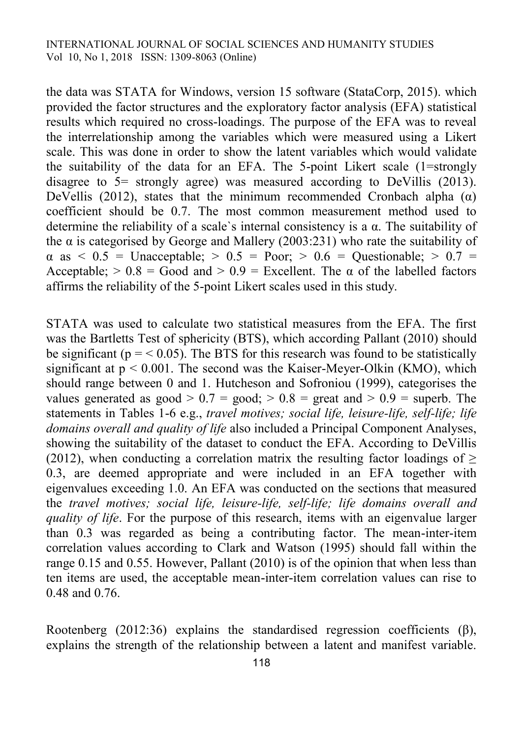the data was STATA for Windows, version 15 software (StataCorp, 2015). which provided the factor structures and the exploratory factor analysis (EFA) statistical results which required no cross-loadings. The purpose of the EFA was to reveal the interrelationship among the variables which were measured using a Likert scale. This was done in order to show the latent variables which would validate the suitability of the data for an EFA. The 5-point Likert scale (1=strongly disagree to 5= strongly agree) was measured according to DeVillis (2013). DeVellis (2012), states that the minimum recommended Cronbach alpha  $(\alpha)$ coefficient should be 0.7. The most common measurement method used to determine the reliability of a scale's internal consistency is a  $\alpha$ . The suitability of the  $\alpha$  is categorised by George and Mallery (2003:231) who rate the suitability of  $\alpha$  as  $\leq 0.5$  = Unacceptable;  $> 0.5$  = Poor;  $> 0.6$  = Questionable;  $> 0.7$  = Acceptable;  $> 0.8 =$  Good and  $> 0.9 =$  Excellent. The  $\alpha$  of the labelled factors affirms the reliability of the 5-point Likert scales used in this study.

STATA was used to calculate two statistical measures from the EFA. The first was the Bartletts Test of sphericity (BTS), which according Pallant (2010) should be significant ( $p = < 0.05$ ). The BTS for this research was found to be statistically significant at  $p < 0.001$ . The second was the Kaiser-Meyer-Olkin (KMO), which should range between 0 and 1. Hutcheson and Sofroniou (1999), categorises the values generated as good  $> 0.7 =$  good;  $> 0.8 =$  great and  $> 0.9 =$  superb. The statements in Tables 1-6 e.g., *travel motives; social life, leisure-life, self-life; life domains overall and quality of life* also included a Principal Component Analyses, showing the suitability of the dataset to conduct the EFA. According to DeVillis (2012), when conducting a correlation matrix the resulting factor loadings of  $\geq$ 0.3, are deemed appropriate and were included in an EFA together with eigenvalues exceeding 1.0. An EFA was conducted on the sections that measured the *travel motives; social life, leisure-life, self-life; life domains overall and quality of life*. For the purpose of this research, items with an eigenvalue larger than 0.3 was regarded as being a contributing factor. The mean-inter-item correlation values according to Clark and Watson (1995) should fall within the range 0.15 and 0.55. However, Pallant (2010) is of the opinion that when less than ten items are used, the acceptable mean-inter-item correlation values can rise to 0.48 and 0.76.

Rootenberg (2012:36) explains the standardised regression coefficients  $(\beta)$ , explains the strength of the relationship between a latent and manifest variable.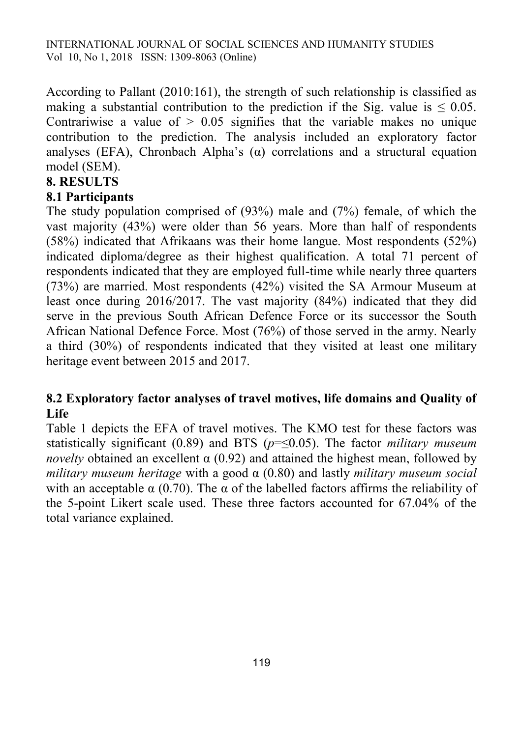According to Pallant (2010:161), the strength of such relationship is classified as making a substantial contribution to the prediction if the Sig. value is  $\leq 0.05$ . Contrariwise a value of  $> 0.05$  signifies that the variable makes no unique contribution to the prediction. The analysis included an exploratory factor analyses (EFA), Chronbach Alpha's  $(\alpha)$  correlations and a structural equation model (SEM).

# **8. RESULTS**

# **8.1 Participants**

The study population comprised of (93%) male and (7%) female, of which the vast majority (43%) were older than 56 years. More than half of respondents (58%) indicated that Afrikaans was their home langue. Most respondents (52%) indicated diploma/degree as their highest qualification. A total 71 percent of respondents indicated that they are employed full-time while nearly three quarters (73%) are married. Most respondents (42%) visited the SA Armour Museum at least once during 2016/2017. The vast majority (84%) indicated that they did serve in the previous South African Defence Force or its successor the South African National Defence Force. Most (76%) of those served in the army. Nearly a third (30%) of respondents indicated that they visited at least one military heritage event between 2015 and 2017.

# **8.2 Exploratory factor analyses of travel motives, life domains and Quality of Life**

Table 1 depicts the EFA of travel motives. The KMO test for these factors was statistically significant (0.89) and BTS (*p*=≤0.05). The factor *military museum novelty* obtained an excellent  $\alpha$  (0.92) and attained the highest mean, followed by *military museum heritage* with a good α (0.80) and lastly *military museum social* with an acceptable  $\alpha$  (0.70). The  $\alpha$  of the labelled factors affirms the reliability of the 5-point Likert scale used. These three factors accounted for 67.04% of the total variance explained.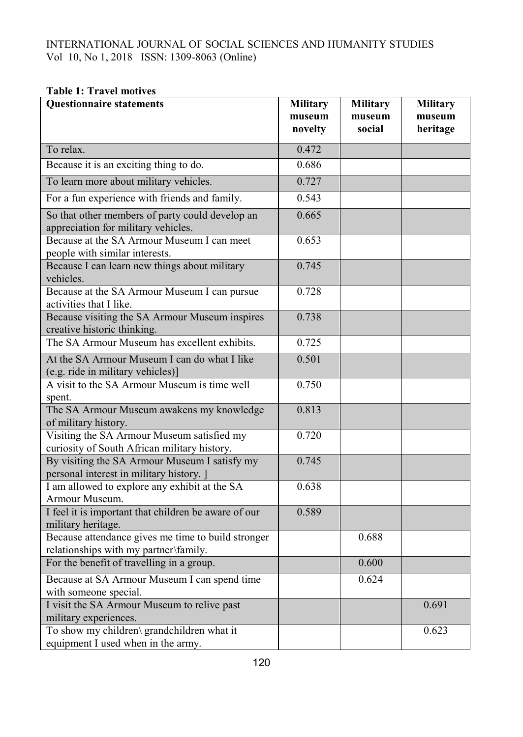#### **Table 1: Travel motives**

| <b>Questionnaire statements</b>                                                             | <b>Military</b><br>museum<br>novelty | <b>Military</b><br>museum<br>social | <b>Military</b><br>museum<br>heritage |
|---------------------------------------------------------------------------------------------|--------------------------------------|-------------------------------------|---------------------------------------|
|                                                                                             |                                      |                                     |                                       |
| To relax.                                                                                   | 0.472                                |                                     |                                       |
| Because it is an exciting thing to do.                                                      | 0.686                                |                                     |                                       |
| To learn more about military vehicles.                                                      | 0.727                                |                                     |                                       |
| For a fun experience with friends and family.                                               | 0.543                                |                                     |                                       |
| So that other members of party could develop an<br>appreciation for military vehicles.      | 0.665                                |                                     |                                       |
| Because at the SA Armour Museum I can meet<br>people with similar interests.                | 0.653                                |                                     |                                       |
| Because I can learn new things about military<br>vehicles.                                  | 0.745                                |                                     |                                       |
| Because at the SA Armour Museum I can pursue<br>activities that I like.                     | 0.728                                |                                     |                                       |
| Because visiting the SA Armour Museum inspires<br>creative historic thinking.               | 0.738                                |                                     |                                       |
| The SA Armour Museum has excellent exhibits.                                                | 0.725                                |                                     |                                       |
| At the SA Armour Museum I can do what I like<br>(e.g. ride in military vehicles)]           | 0.501                                |                                     |                                       |
| A visit to the SA Armour Museum is time well<br>spent.                                      | 0.750                                |                                     |                                       |
| The SA Armour Museum awakens my knowledge<br>of military history.                           | 0.813                                |                                     |                                       |
| Visiting the SA Armour Museum satisfied my<br>curiosity of South African military history.  | 0.720                                |                                     |                                       |
| By visiting the SA Armour Museum I satisfy my<br>personal interest in military history. ]   | 0.745                                |                                     |                                       |
| I am allowed to explore any exhibit at the SA<br>Armour Museum.                             | 0.638                                |                                     |                                       |
| I feel it is important that children be aware of our<br>military heritage.                  | 0.589                                |                                     |                                       |
| Because attendance gives me time to build stronger<br>relationships with my partner\family. |                                      | 0.688                               |                                       |
| For the benefit of travelling in a group.                                                   |                                      | 0.600                               |                                       |
| Because at SA Armour Museum I can spend time<br>with someone special.                       |                                      | 0.624                               |                                       |
| I visit the SA Armour Museum to relive past<br>military experiences.                        |                                      |                                     | 0.691                                 |
| To show my children\ grandchildren what it<br>equipment I used when in the army.            |                                      |                                     | 0.623                                 |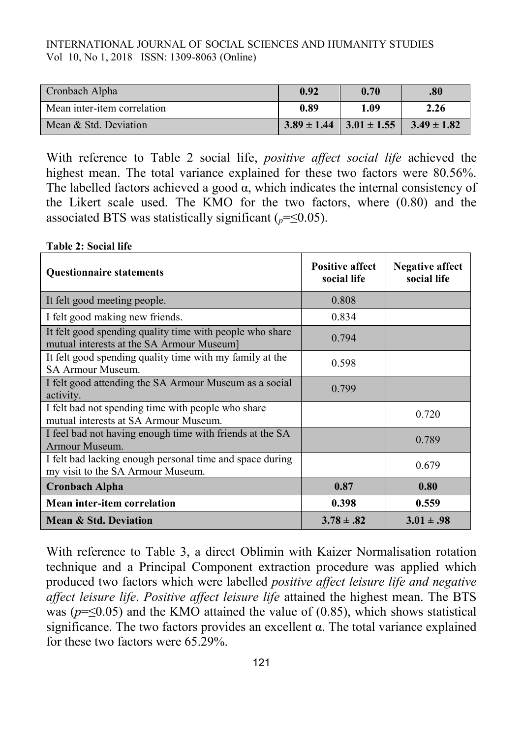| Cronbach Alpha              | 0.92 | 0.70                                            | .80  |
|-----------------------------|------|-------------------------------------------------|------|
| Mean inter-item correlation | 0.89 | 1.09                                            | 2.26 |
| Mean & Std. Deviation       |      | $3.89 \pm 1.44$ $3.01 \pm 1.55$ $3.49 \pm 1.82$ |      |

With reference to Table 2 social life, *positive affect social life* achieved the highest mean. The total variance explained for these two factors were 80.56%. The labelled factors achieved a good  $\alpha$ , which indicates the internal consistency of the Likert scale used. The KMO for the two factors, where (0.80) and the associated BTS was statistically significant  $(_{p} = < 0.05)$ .

#### **Table 2: Social life**

| <b>Questionnaire statements</b>                                                                       | <b>Positive affect</b><br>social life | Negative affect<br>social life |
|-------------------------------------------------------------------------------------------------------|---------------------------------------|--------------------------------|
| It felt good meeting people.                                                                          | 0.808                                 |                                |
| I felt good making new friends.                                                                       | 0.834                                 |                                |
| It felt good spending quality time with people who share<br>mutual interests at the SA Armour Museum] | 0.794                                 |                                |
| It felt good spending quality time with my family at the<br><b>SA Armour Museum.</b>                  | 0.598                                 |                                |
| I felt good attending the SA Armour Museum as a social<br>activity.                                   | 0.799                                 |                                |
| I felt bad not spending time with people who share<br>mutual interests at SA Armour Museum.           |                                       | 0.720                          |
| I feel bad not having enough time with friends at the SA<br>Armour Museum.                            |                                       | 0.789                          |
| I felt bad lacking enough personal time and space during<br>my visit to the SA Armour Museum.         |                                       | 0.679                          |
| <b>Cronbach Alpha</b>                                                                                 | 0.87                                  | 0.80                           |
| Mean inter-item correlation                                                                           | 0.398                                 | 0.559                          |
| <b>Mean &amp; Std. Deviation</b>                                                                      | $3.78 \pm .82$                        | $3.01 \pm .98$                 |

With reference to Table 3, a direct Oblimin with Kaizer Normalisation rotation technique and a Principal Component extraction procedure was applied which produced two factors which were labelled *positive affect leisure life and negative affect leisure life*. *Positive affect leisure life* attained the highest mean. The BTS was ( $p = \leq 0.05$ ) and the KMO attained the value of (0.85), which shows statistical significance. The two factors provides an excellent α. The total variance explained for these two factors were 65.29%.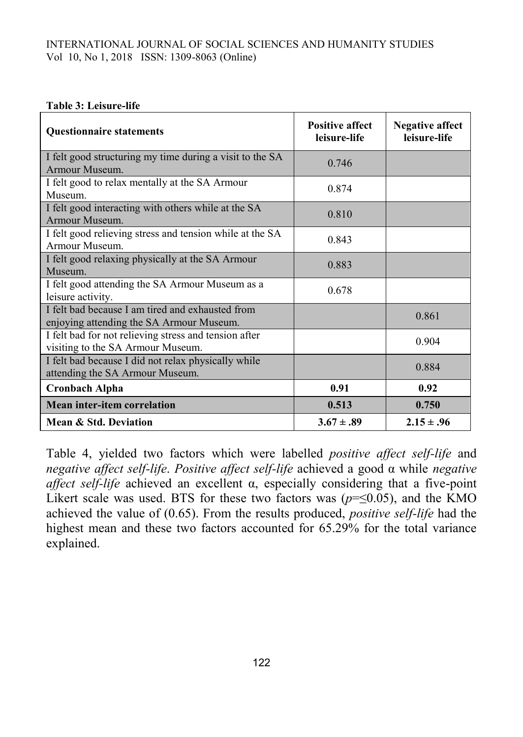#### **Table 3: Leisure-life**

| <b>Questionnaire statements</b>                                                              | <b>Positive affect</b><br>leisure-life | <b>Negative affect</b><br>leisure-life |
|----------------------------------------------------------------------------------------------|----------------------------------------|----------------------------------------|
| I felt good structuring my time during a visit to the SA                                     | 0.746                                  |                                        |
| Armour Museum.                                                                               |                                        |                                        |
| I felt good to relax mentally at the SA Armour<br>Museum.                                    | 0.874                                  |                                        |
| I felt good interacting with others while at the SA<br>Armour Museum.                        | 0.810                                  |                                        |
| I felt good relieving stress and tension while at the SA<br>Armour Museum.                   | 0.843                                  |                                        |
| I felt good relaxing physically at the SA Armour<br>Museum.                                  | 0.883                                  |                                        |
| I felt good attending the SA Armour Museum as a<br>leisure activity.                         | 0.678                                  |                                        |
| I felt bad because I am tired and exhausted from<br>enjoying attending the SA Armour Museum. |                                        | 0.861                                  |
| I felt bad for not relieving stress and tension after<br>visiting to the SA Armour Museum.   |                                        | 0.904                                  |
| I felt bad because I did not relax physically while<br>attending the SA Armour Museum.       |                                        | 0.884                                  |
| <b>Cronbach Alpha</b>                                                                        | 0.91                                   | 0.92                                   |
| <b>Mean inter-item correlation</b>                                                           | 0.513                                  | 0.750                                  |
| Mean & Std. Deviation                                                                        | $3.67 \pm .89$                         | $2.15 \pm .96$                         |

Table 4, yielded two factors which were labelled *positive affect self-life* and *negative affect self-life*. *Positive affect self-life* achieved a good α while *negative affect self-life* achieved an excellent α, especially considering that a five-point Likert scale was used. BTS for these two factors was  $(p=\leq 0.05)$ , and the KMO achieved the value of (0.65). From the results produced, *positive self-life* had the highest mean and these two factors accounted for 65.29% for the total variance explained.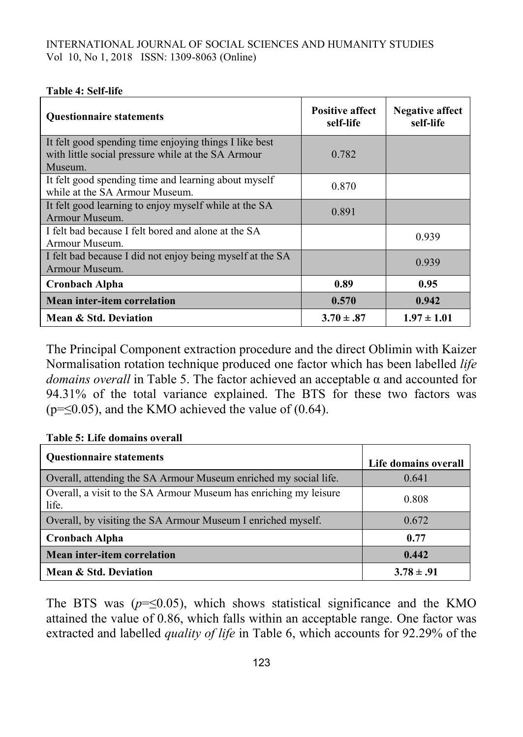#### **Table 4: Self-life**

| <b>Questionnaire statements</b>                                                                                         | <b>Positive affect</b><br>self-life | <b>Negative affect</b><br>self-life |
|-------------------------------------------------------------------------------------------------------------------------|-------------------------------------|-------------------------------------|
| It felt good spending time enjoying things I like best<br>with little social pressure while at the SA Armour<br>Museum. | 0.782                               |                                     |
| It felt good spending time and learning about myself<br>while at the SA Armour Museum.                                  | 0.870                               |                                     |
| It felt good learning to enjoy myself while at the SA<br>Armour Museum.                                                 | 0.891                               |                                     |
| I felt bad because I felt bored and alone at the SA<br>Armour Museum.                                                   |                                     | 0.939                               |
| I felt bad because I did not enjoy being myself at the SA<br>Armour Museum.                                             |                                     | 0.939                               |
| Cronbach Alpha                                                                                                          | 0.89                                | 0.95                                |
| <b>Mean inter-item correlation</b>                                                                                      | 0.570                               | 0.942                               |
| Mean & Std. Deviation                                                                                                   | $3.70 \pm .87$                      | $1.97 \pm 1.01$                     |

The Principal Component extraction procedure and the direct Oblimin with Kaizer Normalisation rotation technique produced one factor which has been labelled *life domains overall* in Table 5. The factor achieved an acceptable α and accounted for 94.31% of the total variance explained. The BTS for these two factors was  $(p=\leq 0.05)$ , and the KMO achieved the value of (0.64).

| <b>Ouestionnaire statements</b>                                            | Life domains overall |
|----------------------------------------------------------------------------|----------------------|
| Overall, attending the SA Armour Museum enriched my social life.           | 0.641                |
| Overall, a visit to the SA Armour Museum has enriching my leisure<br>life. | 0.808                |
| Overall, by visiting the SA Armour Museum I enriched myself.               | 0.672                |
| <b>Cronbach Alpha</b>                                                      | 0.77                 |
| Mean inter-item correlation                                                | 0.442                |
| Mean & Std. Deviation                                                      | $3.78 \pm .91$       |

#### **Table 5: Life domains overall**

The BTS was  $(p=\leq 0.05)$ , which shows statistical significance and the KMO attained the value of 0.86, which falls within an acceptable range. One factor was extracted and labelled *quality of life* in Table 6, which accounts for 92.29% of the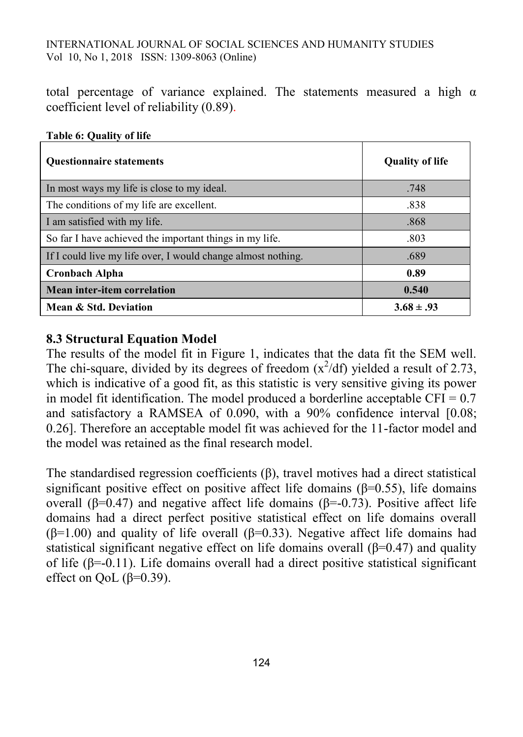total percentage of variance explained. The statements measured a high  $\alpha$ coefficient level of reliability (0.89).

| <b>Ouestionnaire statements</b>                              | <b>Quality of life</b> |
|--------------------------------------------------------------|------------------------|
| In most ways my life is close to my ideal.                   | .748                   |
| The conditions of my life are excellent.                     | .838                   |
| I am satisfied with my life.                                 | .868                   |
| So far I have achieved the important things in my life.      | .803                   |
| If I could live my life over, I would change almost nothing. | .689                   |
| <b>Cronbach Alpha</b>                                        | 0.89                   |
| Mean inter-item correlation                                  | 0.540                  |
| Mean & Std. Deviation                                        | $3.68 \pm .93$         |

### **Table 6: Quality of life**

## **8.3 Structural Equation Model**

The results of the model fit in Figure 1, indicates that the data fit the SEM well. The chi-square, divided by its degrees of freedom  $(x^2/df)$  yielded a result of 2.73, which is indicative of a good fit, as this statistic is very sensitive giving its power in model fit identification. The model produced a borderline acceptable CFI =  $0.7$ and satisfactory a RAMSEA of 0.090, with a 90% confidence interval [0.08; 0.26]. Therefore an acceptable model fit was achieved for the 11-factor model and the model was retained as the final research model.

The standardised regression coefficients (β), travel motives had a direct statistical significant positive effect on positive affect life domains  $(\beta=0.55)$ , life domains overall ( $\beta$ =0.47) and negative affect life domains ( $\beta$ =-0.73). Positive affect life domains had a direct perfect positive statistical effect on life domains overall ( $\beta$ =1.00) and quality of life overall ( $\beta$ =0.33). Negative affect life domains had statistical significant negative effect on life domains overall  $(\beta=0.47)$  and quality of life ( $\beta$ =-0.11). Life domains overall had a direct positive statistical significant effect on QoL ( $\beta$ =0.39).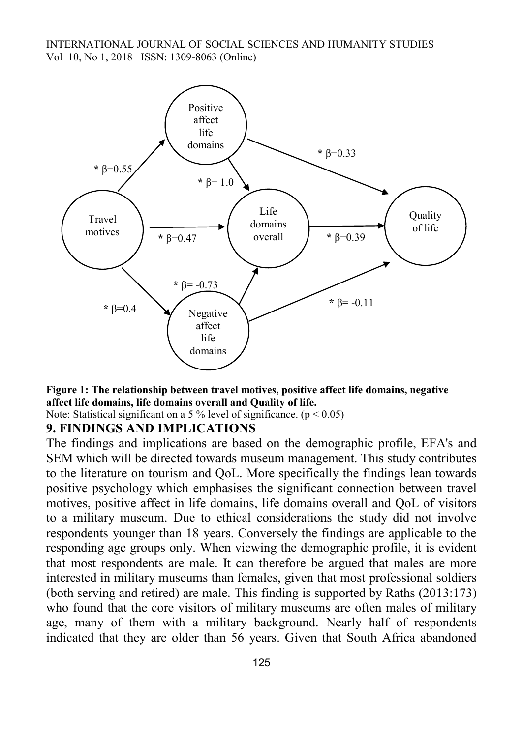

**Figure 1: The relationship between travel motives, positive affect life domains, negative affect life domains, life domains overall and Quality of life.**

Note: Statistical significant on a 5 % level of significance.  $(p < 0.05)$ 

#### **9. FINDINGS AND IMPLICATIONS**

The findings and implications are based on the demographic profile, EFA's and SEM which will be directed towards museum management. This study contributes to the literature on tourism and QoL. More specifically the findings lean towards positive psychology which emphasises the significant connection between travel motives, positive affect in life domains, life domains overall and QoL of visitors to a military museum. Due to ethical considerations the study did not involve respondents younger than 18 years. Conversely the findings are applicable to the responding age groups only. When viewing the demographic profile, it is evident that most respondents are male. It can therefore be argued that males are more interested in military museums than females, given that most professional soldiers (both serving and retired) are male. This finding is supported by Raths (2013:173) who found that the core visitors of military museums are often males of military age, many of them with a military background. Nearly half of respondents indicated that they are older than 56 years. Given that South Africa abandoned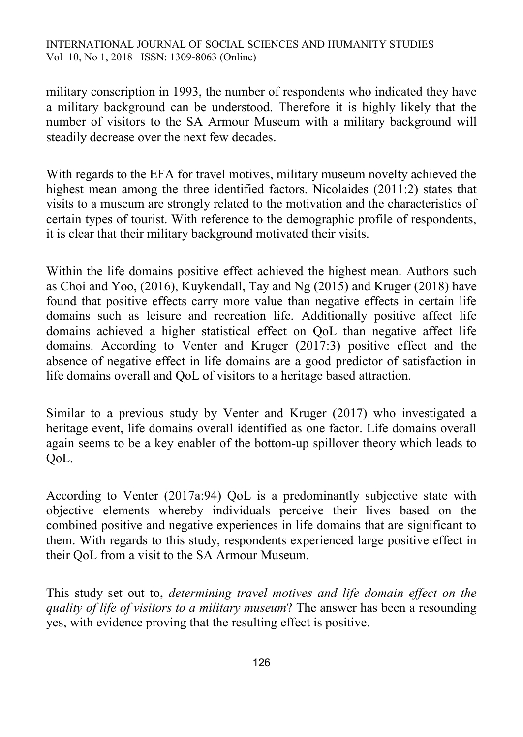military conscription in 1993, the number of respondents who indicated they have a military background can be understood. Therefore it is highly likely that the number of visitors to the SA Armour Museum with a military background will steadily decrease over the next few decades.

With regards to the EFA for travel motives, military museum novelty achieved the highest mean among the three identified factors. Nicolaides (2011:2) states that visits to a museum are strongly related to the motivation and the characteristics of certain types of tourist. With reference to the demographic profile of respondents, it is clear that their military background motivated their visits.

Within the life domains positive effect achieved the highest mean. Authors such as Choi and Yoo, (2016), Kuykendall, Tay and Ng (2015) and Kruger (2018) have found that positive effects carry more value than negative effects in certain life domains such as leisure and recreation life. Additionally positive affect life domains achieved a higher statistical effect on QoL than negative affect life domains. According to Venter and Kruger (2017:3) positive effect and the absence of negative effect in life domains are a good predictor of satisfaction in life domains overall and QoL of visitors to a heritage based attraction.

Similar to a previous study by Venter and Kruger (2017) who investigated a heritage event, life domains overall identified as one factor. Life domains overall again seems to be a key enabler of the bottom-up spillover theory which leads to QoL.

According to Venter (2017a:94) QoL is a predominantly subjective state with objective elements whereby individuals perceive their lives based on the combined positive and negative experiences in life domains that are significant to them. With regards to this study, respondents experienced large positive effect in their QoL from a visit to the SA Armour Museum.

This study set out to, *determining travel motives and life domain effect on the quality of life of visitors to a military museum*? The answer has been a resounding yes, with evidence proving that the resulting effect is positive.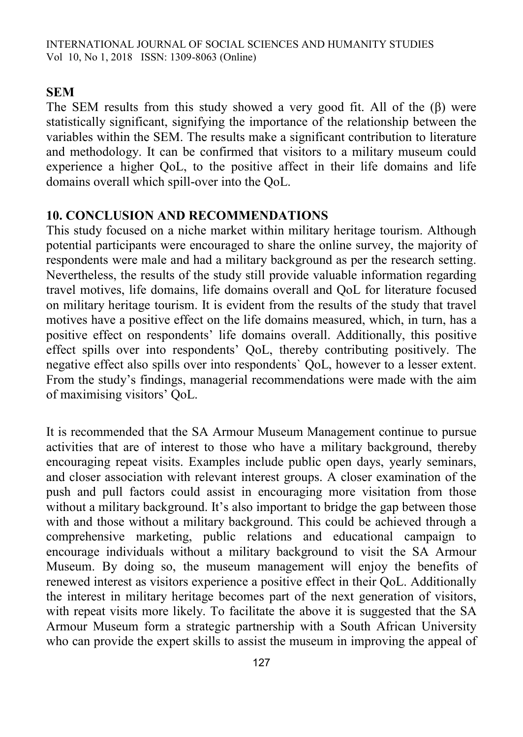### **SEM**

The SEM results from this study showed a very good fit. All of the (β) were statistically significant, signifying the importance of the relationship between the variables within the SEM. The results make a significant contribution to literature and methodology. It can be confirmed that visitors to a military museum could experience a higher QoL, to the positive affect in their life domains and life domains overall which spill-over into the QoL.

### **10. CONCLUSION AND RECOMMENDATIONS**

This study focused on a niche market within military heritage tourism. Although potential participants were encouraged to share the online survey, the majority of respondents were male and had a military background as per the research setting. Nevertheless, the results of the study still provide valuable information regarding travel motives, life domains, life domains overall and QoL for literature focused on military heritage tourism. It is evident from the results of the study that travel motives have a positive effect on the life domains measured, which, in turn, has a positive effect on respondents' life domains overall. Additionally, this positive effect spills over into respondents' QoL, thereby contributing positively. The negative effect also spills over into respondents` QoL, however to a lesser extent. From the study's findings, managerial recommendations were made with the aim of maximising visitors' QoL.

It is recommended that the SA Armour Museum Management continue to pursue activities that are of interest to those who have a military background, thereby encouraging repeat visits. Examples include public open days, yearly seminars, and closer association with relevant interest groups. A closer examination of the push and pull factors could assist in encouraging more visitation from those without a military background. It's also important to bridge the gap between those with and those without a military background. This could be achieved through a comprehensive marketing, public relations and educational campaign to encourage individuals without a military background to visit the SA Armour Museum. By doing so, the museum management will enjoy the benefits of renewed interest as visitors experience a positive effect in their QoL. Additionally the interest in military heritage becomes part of the next generation of visitors, with repeat visits more likely. To facilitate the above it is suggested that the SA Armour Museum form a strategic partnership with a South African University who can provide the expert skills to assist the museum in improving the appeal of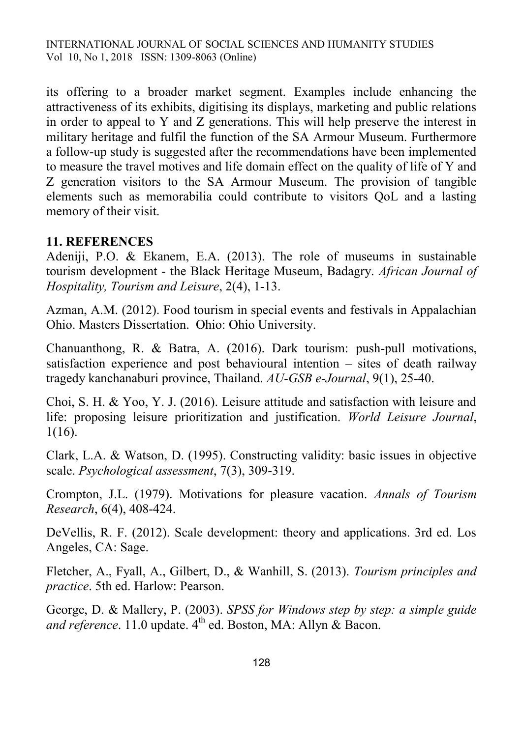its offering to a broader market segment. Examples include enhancing the attractiveness of its exhibits, digitising its displays, marketing and public relations in order to appeal to Y and Z generations. This will help preserve the interest in military heritage and fulfil the function of the SA Armour Museum. Furthermore a follow-up study is suggested after the recommendations have been implemented to measure the travel motives and life domain effect on the quality of life of Y and Z generation visitors to the SA Armour Museum. The provision of tangible elements such as memorabilia could contribute to visitors QoL and a lasting memory of their visit.

## **11. REFERENCES**

Adeniji, P.O. & Ekanem, E.A. (2013). The role of museums in sustainable tourism development - the Black Heritage Museum, Badagry. *African Journal of Hospitality, Tourism and Leisure*, 2(4), 1-13.

Azman, A.M. (2012). Food tourism in special events and festivals in Appalachian Ohio. Masters Dissertation. Ohio: Ohio University.

Chanuanthong, R. & Batra, A. (2016). Dark tourism: push-pull motivations, satisfaction experience and post behavioural intention – sites of death railway tragedy kanchanaburi province, Thailand. *AU-GSB e-Journal*, 9(1), 25-40.

Choi, S. H. & Yoo, Y. J. (2016). Leisure attitude and satisfaction with leisure and life: proposing leisure prioritization and justification. *World Leisure Journal*, 1(16).

Clark, L.A. & Watson, D. (1995). Constructing validity: basic issues in objective scale. *Psychological assessment*, 7(3), 309-319.

Crompton, J.L. (1979). Motivations for pleasure vacation. *Annals of Tourism Research*, 6(4), 408-424.

DeVellis, R. F. (2012). Scale development: theory and applications. 3rd ed. Los Angeles, CA: Sage.

Fletcher, A., Fyall, A., Gilbert, D., & Wanhill, S. (2013). *Tourism principles and practice*. 5th ed. Harlow: Pearson.

George, D. & Mallery, P. (2003). *SPSS for Windows step by step: a simple guide and reference*. 11.0 update.  $4<sup>th</sup>$  ed. Boston, MA: Allyn & Bacon.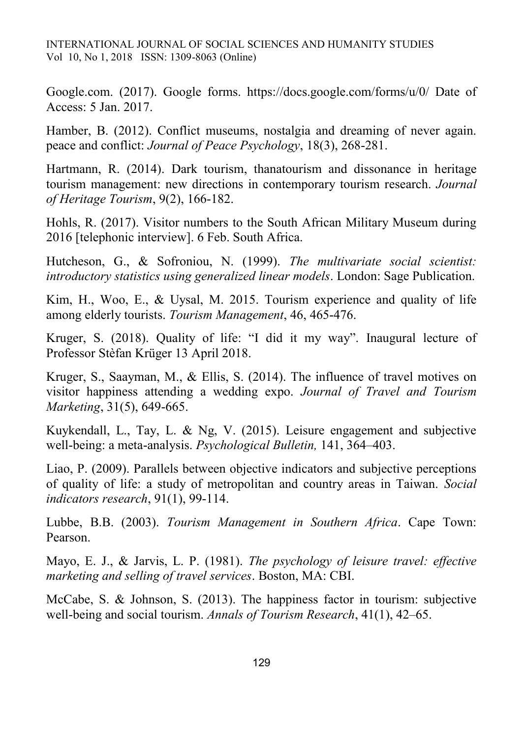Google.com. (2017). Google forms. https://docs.google.com/forms/u/0/ Date of Access: 5 Jan. 2017.

Hamber, B. (2012). Conflict museums, nostalgia and dreaming of never again. peace and conflict: *Journal of Peace Psychology*, 18(3), 268-281.

Hartmann, R. (2014). Dark tourism, thanatourism and dissonance in heritage tourism management: new directions in contemporary tourism research. *Journal of Heritage Tourism*, 9(2), 166-182.

Hohls, R. (2017). Visitor numbers to the South African Military Museum during 2016 [telephonic interview]. 6 Feb. South Africa.

Hutcheson, G., & Sofroniou, N. (1999). *The multivariate social scientist: introductory statistics using generalized linear models*. London: Sage Publication.

Kim, H., Woo, E., & Uysal, M. 2015. Tourism experience and quality of life among elderly tourists. *Tourism Management*, 46, 465-476.

Kruger, S. (2018). Quality of life: "I did it my way". Inaugural lecture of Professor Stèfan Krüger 13 April 2018.

Kruger, S., Saayman, M., & Ellis, S. (2014). The influence of travel motives on visitor happiness attending a wedding expo. *Journal of Travel and Tourism Marketing*, 31(5), 649-665.

Kuykendall, L., Tay, L. & Ng, V. (2015). Leisure engagement and subjective well-being: a meta-analysis. *Psychological Bulletin,* 141, 364–403.

Liao, P. (2009). Parallels between objective indicators and subjective perceptions of quality of life: a study of metropolitan and country areas in Taiwan. *Social indicators research*, 91(1), 99-114.

Lubbe, B.B. (2003). *Tourism Management in Southern Africa*. Cape Town: Pearson.

Mayo, E. J., & Jarvis, L. P. (1981). *The psychology of leisure travel: effective marketing and selling of travel services*. Boston, MA: CBI.

McCabe, S. & Johnson, S. (2013). The happiness factor in tourism: subjective well-being and social tourism. *Annals of Tourism Research*, 41(1), 42–65.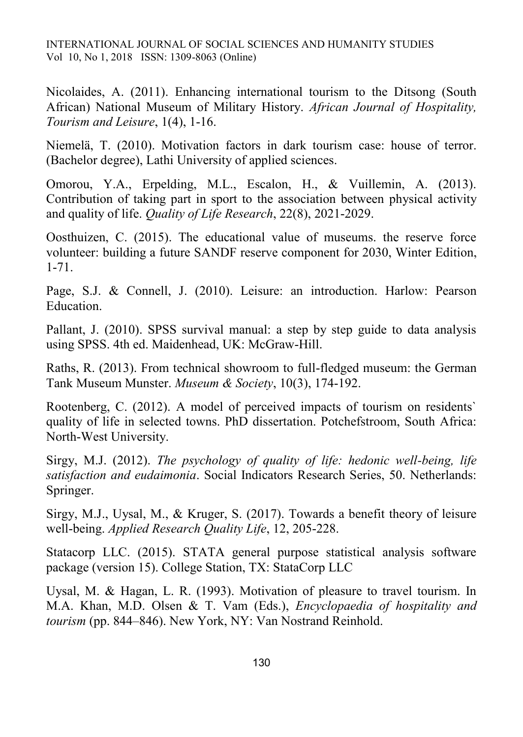Nicolaides, A. (2011). Enhancing international tourism to the Ditsong (South African) National Museum of Military History. *African Journal of Hospitality, Tourism and Leisure*, 1(4), 1-16.

Niemelä, T. (2010). Motivation factors in dark tourism case: house of terror. (Bachelor degree), Lathi University of applied sciences.

Omorou, Y.A., Erpelding, M.L., Escalon, H., & Vuillemin, A. (2013). Contribution of taking part in sport to the association between physical activity and quality of life. *Quality of Life Research*, 22(8), 2021-2029.

Oosthuizen, C. (2015). The educational value of museums. the reserve force volunteer: building a future SANDF reserve component for 2030, Winter Edition, 1-71.

Page, S.J. & Connell, J. (2010). Leisure: an introduction. Harlow: Pearson Education.

Pallant, J. (2010). SPSS survival manual: a step by step guide to data analysis using SPSS. 4th ed. Maidenhead, UK: McGraw-Hill.

Raths, R. (2013). From technical showroom to full-fledged museum: the German Tank Museum Munster. *Museum & Society*, 10(3), 174-192.

Rootenberg, C. (2012). A model of perceived impacts of tourism on residents` quality of life in selected towns. PhD dissertation. Potchefstroom, South Africa: North-West University.

Sirgy, M.J. (2012). *The psychology of quality of life: hedonic well-being, life satisfaction and eudaimonia*. Social Indicators Research Series, 50. Netherlands: Springer.

Sirgy, M.J., Uysal, M., & Kruger, S. (2017). Towards a benefit theory of leisure well-being. *Applied Research Quality Life*, 12, 205-228.

Statacorp LLC. (2015). STATA general purpose statistical analysis software package (version 15). College Station, TX: StataCorp LLC

Uysal, M. & Hagan, L. R. (1993). Motivation of pleasure to travel tourism. In M.A. Khan, M.D. Olsen & T. Vam (Eds.), *Encyclopaedia of hospitality and tourism* (pp. 844–846). New York, NY: Van Nostrand Reinhold.